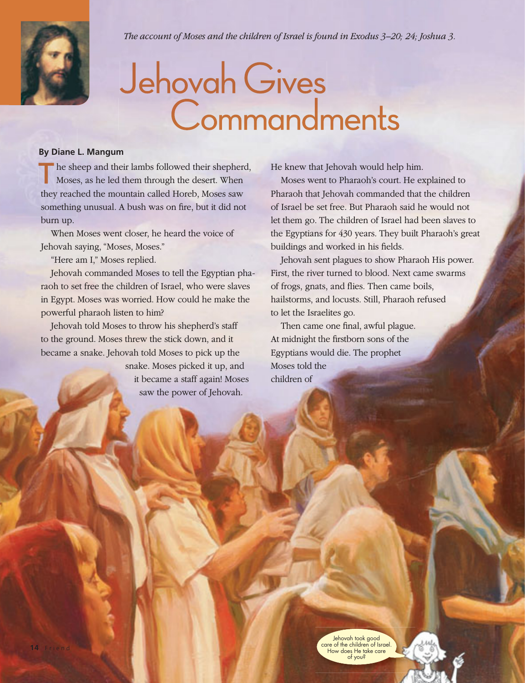

*The account of Moses and the children of Israel is found in Exodus 3–20; 24; Joshua 3.*

## Jehovah Gives<br>Commandments

## **By Diane L. Mangum**

he sheep and their lambs followed their shepherd, Moses, as he led them through the desert. When they reached the mountain called Horeb, Moses saw something unusual. A bush was on fire, but it did not burn up.

When Moses went closer, he heard the voice of Jehovah saying, "Moses, Moses."

"Here am I," Moses replied.

Jehovah commanded Moses to tell the Egyptian pharaoh to set free the children of Israel, who were slaves in Egypt. Moses was worried. How could he make the powerful pharaoh listen to him?

Jehovah told Moses to throw his shepherd's staff to the ground. Moses threw the stick down, and it became a snake. Jehovah told Moses to pick up the snake. Moses picked it up, and it became a staff again! Moses

saw the power of Jehovah.

He knew that Jehovah would help him.

Moses went to Pharaoh's court. He explained to Pharaoh that Jehovah commanded that the children of Israel be set free. But Pharaoh said he would not let them go. The children of Israel had been slaves to the Egyptians for 430 years. They built Pharaoh's great buildings and worked in his fields.

Jehovah sent plagues to show Pharaoh His power. First, the river turned to blood. Next came swarms of frogs, gnats, and flies. Then came boils, hailstorms, and locusts. Still, Pharaoh refused to let the Israelites go.

Then came one final, awful plague. At midnight the firstborn sons of the Egyptians would die. The prophet Moses told the children of

> Jehovah took good care of the children of Israel. How does He take care of you?